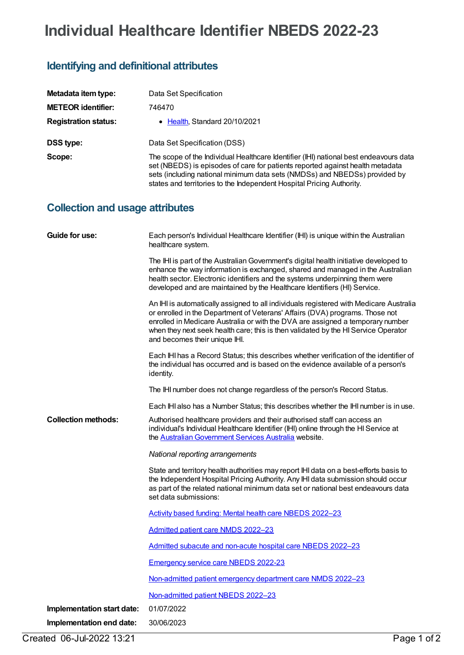# **Individual Healthcare Identifier NBEDS 2022-23**

## **Identifying and definitional attributes**

| Metadata item type:         | Data Set Specification                                                                                                                                                                                                                                                                                                        |
|-----------------------------|-------------------------------------------------------------------------------------------------------------------------------------------------------------------------------------------------------------------------------------------------------------------------------------------------------------------------------|
| <b>METEOR identifier:</b>   | 746470                                                                                                                                                                                                                                                                                                                        |
| <b>Registration status:</b> | $\bullet$ Health Standard 20/10/2021                                                                                                                                                                                                                                                                                          |
| DSS type:                   | Data Set Specification (DSS)                                                                                                                                                                                                                                                                                                  |
| Scope:                      | The scope of the Individual Healthcare Identifier (IHI) national best endeavours data<br>set (NBEDS) is episodes of care for patients reported against health metadata<br>sets (including national minimum data sets (NMDSs) and NBEDSs) provided by<br>states and territories to the Independent Hospital Pricing Authority. |

## **Collection and usage attributes**

| Guide for use:             | Each person's Individual Healthcare Identifier (IHI) is unique within the Australian<br>healthcare system.                                                                                                                                                                                                                                                                      |
|----------------------------|---------------------------------------------------------------------------------------------------------------------------------------------------------------------------------------------------------------------------------------------------------------------------------------------------------------------------------------------------------------------------------|
|                            | The IHI is part of the Australian Government's digital health initiative developed to<br>enhance the way information is exchanged, shared and managed in the Australian<br>health sector. Electronic identifiers and the systems underpinning them were<br>developed and are maintained by the Healthcare Identifiers (HI) Service.                                             |
|                            | An IHI is automatically assigned to all individuals registered with Medicare Australia<br>or enrolled in the Department of Veterans' Affairs (DVA) programs. Those not<br>enrolled in Medicare Australia or with the DVA are assigned a temporary number<br>when they next seek health care; this is then validated by the HI Service Operator<br>and becomes their unique IHI. |
| <b>Collection methods:</b> | Each IHI has a Record Status; this describes whether verification of the identifier of<br>the individual has occurred and is based on the evidence available of a person's<br>identity.                                                                                                                                                                                         |
|                            | The IHI number does not change regardless of the person's Record Status.                                                                                                                                                                                                                                                                                                        |
|                            | Each IHI also has a Number Status; this describes whether the IHI number is in use.                                                                                                                                                                                                                                                                                             |
|                            | Authorised healthcare providers and their authorised staff can access an<br>individual's Individual Healthcare Identifier (IHI) online through the HI Service at<br>the Australian Government Services Australia website.                                                                                                                                                       |
|                            | National reporting arrangements                                                                                                                                                                                                                                                                                                                                                 |
|                            | State and territory health authorities may report IHI data on a best-efforts basis to<br>the Independent Hospital Pricing Authority. Any IHI data submission should occur<br>as part of the related national minimum data set or national best endeavours data<br>set data submissions:                                                                                         |
|                            | Activity based funding: Mental health care NBEDS 2022-23                                                                                                                                                                                                                                                                                                                        |
|                            | Admitted patient care NMDS 2022-23                                                                                                                                                                                                                                                                                                                                              |
|                            | Admitted subacute and non-acute hospital care NBEDS 2022-23                                                                                                                                                                                                                                                                                                                     |
|                            | <b>Emergency service care NBEDS 2022-23</b>                                                                                                                                                                                                                                                                                                                                     |
|                            | Non-admitted patient emergency department care NMDS 2022-23                                                                                                                                                                                                                                                                                                                     |
|                            | Non-admitted patient NBEDS 2022-23                                                                                                                                                                                                                                                                                                                                              |
| Implementation start date: | 01/07/2022                                                                                                                                                                                                                                                                                                                                                                      |
| Implementation end date:   | 30/06/2023                                                                                                                                                                                                                                                                                                                                                                      |